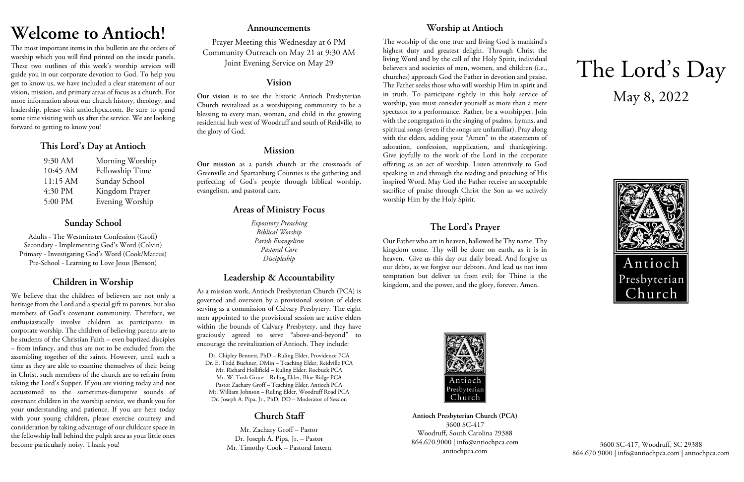# **Welcome to Antioch!**

The most important items in this bulletin are the orders of worship which you will find printed on the inside panels. These two outlines of this week's worship services will guide you in our corporate devotion to God. To help you get to know us, we have included a clear statement of our vision, mission, and primary areas of focus as a church. For more information about our church history, theology, and leadership, please visit antiochpca.com. Be sure to spend some time visiting with us after the service. We are looking forward to getting to know you!

## **This Lord's Day at Antioch**

| 9:30 AM  | Morning Worship |
|----------|-----------------|
| 10:45 AM | Fellowship Time |
| 11:15 AM | Sunday School   |
| 4:30 PM  | Kingdom Prayer  |
| 5:00 PM  | Evening Worship |

# **Sunday School**

Adults - The Westminster Confession (Groff) Secondary - Implementing God's Word (Colvin) Primary - Investigating God's Word (Cook/Marcus) Pre-School - Learning to Love Jesus (Benson)

# **Children in Worship**

We believe that the children of believers are not only a heritage from the Lord and a special gift to parents, but also members of God's covenant community. Therefore, we enthusiastically involve children as participants in corporate worship. The children of believing parents are to be students of the Christian Faith – even baptized disciples – from infancy, and thus are not to be excluded from the assembling together of the saints. However, until such a time as they are able to examine themselves of their being in Christ, such members of the church are to refrain from taking the Lord's Supper. If you are visiting today and not accustomed to the sometimes-disruptive sounds of covenant children in the worship service, we thank you for your understanding and patience. If you are here today with your young children, please exercise courtesy and consideration by taking advantage of our childcare space in the fellowship hall behind the pulpit area as your little ones become particularly noisy. Thank you!

## **Announcements**

Prayer Meeting this Wednesday at 6 PM Community Outreach on May 21 at 9:30 AM Joint Evening Service on May 29

## **Vision**

**Our vision** is to see the historic Antioch Presbyterian Church revitalized as a worshipping community to be a blessing to every man, woman, and child in the growing residential hub west of Woodruff and south of Reidville, to the glory of God.

# **Mission**

**Our mission** as a parish church at the crossroads of Greenville and Spartanburg Counties is the gathering and perfecting of God's people through biblical worship, evangelism, and pastoral care.

# **Areas of Ministry Focus**

*Expository Preaching Biblical Worship Parish Evangelism Pastoral Care Discipleship*

# **Leadership & Accountability**

As a mission work, Antioch Presbyterian Church (PCA) is governed and overseen by a provisional session of elders serving as a commission of Calvary Presbytery. The eight men appointed to the provisional session are active elders within the bounds of Calvary Presbytery, and they have graciously agreed to serve "above-and-beyond" to encourage the revitalization of Antioch. They include:

Dr. Chipley Bennett, PhD – Ruling Elder, Providence PCA Dr. E. Todd Buchner, DMin – Teaching Elder, Reidville PCA Mr. Richard Hollifield – Ruling Elder, Roebuck PCA Mr. W. Tosh Groce – Ruling Elder, Blue Ridge PCA Pastor Zachary Groff – Teaching Elder, Antioch PCA Mr. William Johnson – Ruling Elder, Woodruff Road PCA Dr. Joseph A. Pipa, Jr., PhD, DD – Moderator of Session

# **Church Staff**

Mr. Zachary Groff – Pastor Dr. Joseph A. Pipa, Jr. – Pastor Mr. Timothy Cook – Pastoral Intern

# **Worship at Antioch**

The worship of the one true and living God is mankind's highest duty and greatest delight. Through Christ the living Word and by the call of the Holy Spirit, individual believers and societies of men, women, and children (i.e., churches) approach God the Father in devotion and praise. The Father seeks those who will worship Him in spirit and in truth. To participate rightly in this holy service of worship, you must consider yourself as more than a mere spectator to a performance. Rather, be a worshipper. Join with the congregation in the singing of psalms, hymns, and spiritual songs (even if the songs are unfamiliar). Pray along with the elders, adding your "Amen" to the statements of adoration, confession, supplication, and thanksgiving. Give joyfully to the work of the Lord in the corporate offering as an act of worship. Listen attentively to God speaking in and through the reading and preaching of His inspired Word. May God the Father receive an acceptable sacrifice of praise through Christ the Son as we actively worship Him by the Holy Spirit.

# **The Lord's Prayer**

Our Father who art in heaven, hallowed be Thy name. Thy kingdom come. Thy will be done on earth, as it is in heaven. Give us this day our daily bread. And forgive us our debts, as we forgive our debtors. And lead us not into temptation but deliver us from evil; for Thine is the kingdom, and the power, and the glory, forever. Amen.



**Antioch Presbyterian Church (PCA)** 3600 SC-417 Woodruff, South Carolina 29388 864.670.9000 | info@antiochpca.com antiochpca.com

# The Lord's Day May 8, 2022



3600 SC-417, Woodruff, SC 29388 864.670.9000 | info@antiochpca.com | antiochpca.com